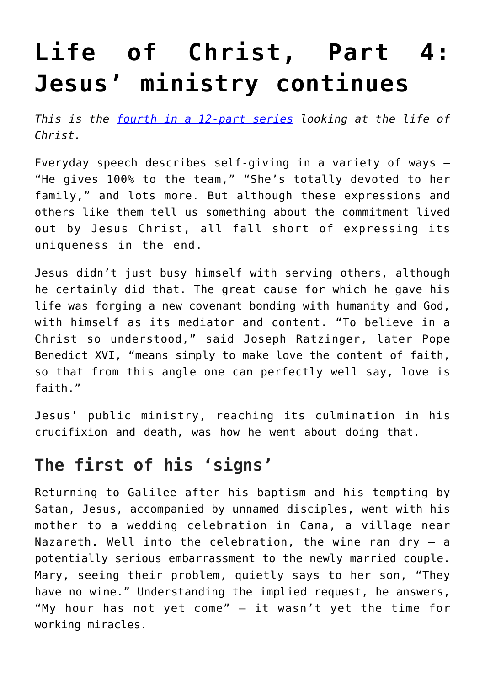# **[Life of Christ, Part 4:](https://www.osvnews.com/2019/08/26/life-of-christ-part-4-jesus-ministry-continues/) [Jesus' ministry continues](https://www.osvnews.com/2019/08/26/life-of-christ-part-4-jesus-ministry-continues/)**

*This is the [fourth in a 12-part series](https://www.osvnews.com/tag/life-of-christ/) looking at the life of Christ.*

Everyday speech describes self-giving in a variety of ways — "He gives 100% to the team," "She's totally devoted to her family," and lots more. But although these expressions and others like them tell us something about the commitment lived out by Jesus Christ, all fall short of expressing its uniqueness in the end.

Jesus didn't just busy himself with serving others, although he certainly did that. The great cause for which he gave his life was forging a new covenant bonding with humanity and God, with himself as its mediator and content. "To believe in a Christ so understood," said Joseph Ratzinger, later Pope Benedict XVI, "means simply to make love the content of faith, so that from this angle one can perfectly well say, love is faith."

Jesus' public ministry, reaching its culmination in his crucifixion and death, was how he went about doing that.

#### **The first of his 'signs'**

Returning to Galilee after his baptism and his tempting by Satan, Jesus, accompanied by unnamed disciples, went with his mother to a wedding celebration in Cana, a village near Nazareth. Well into the celebration, the wine ran dry  $-$  a potentially serious embarrassment to the newly married couple. Mary, seeing their problem, quietly says to her son, "They have no wine." Understanding the implied request, he answers, "My hour has not yet come" — it wasn't yet the time for working miracles.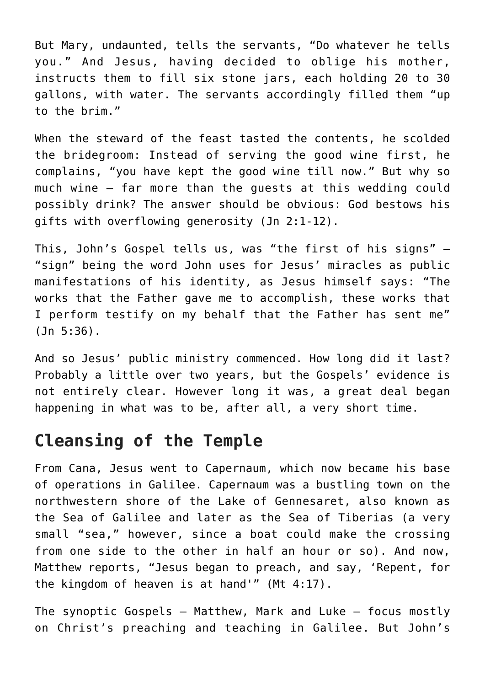But Mary, undaunted, tells the servants, "Do whatever he tells you." And Jesus, having decided to oblige his mother, instructs them to fill six stone jars, each holding 20 to 30 gallons, with water. The servants accordingly filled them "up to the brim."

When the steward of the feast tasted the contents, he scolded the bridegroom: Instead of serving the good wine first, he complains, "you have kept the good wine till now." But why so much wine — far more than the guests at this wedding could possibly drink? The answer should be obvious: God bestows his gifts with overflowing generosity (Jn 2:1-12).

This, John's Gospel tells us, was "the first of his signs" — "sign" being the word John uses for Jesus' miracles as public manifestations of his identity, as Jesus himself says: "The works that the Father gave me to accomplish, these works that I perform testify on my behalf that the Father has sent me" (Jn 5:36).

And so Jesus' public ministry commenced. How long did it last? Probably a little over two years, but the Gospels' evidence is not entirely clear. However long it was, a great deal began happening in what was to be, after all, a very short time.

### **Cleansing of the Temple**

From Cana, Jesus went to Capernaum, which now became his base of operations in Galilee. Capernaum was a bustling town on the northwestern shore of the Lake of Gennesaret, also known as the Sea of Galilee and later as the Sea of Tiberias (a very small "sea," however, since a boat could make the crossing from one side to the other in half an hour or so). And now, Matthew reports, "Jesus began to preach, and say, 'Repent, for the kingdom of heaven is at hand'" (Mt 4:17).

The synoptic Gospels — Matthew, Mark and Luke — focus mostly on Christ's preaching and teaching in Galilee. But John's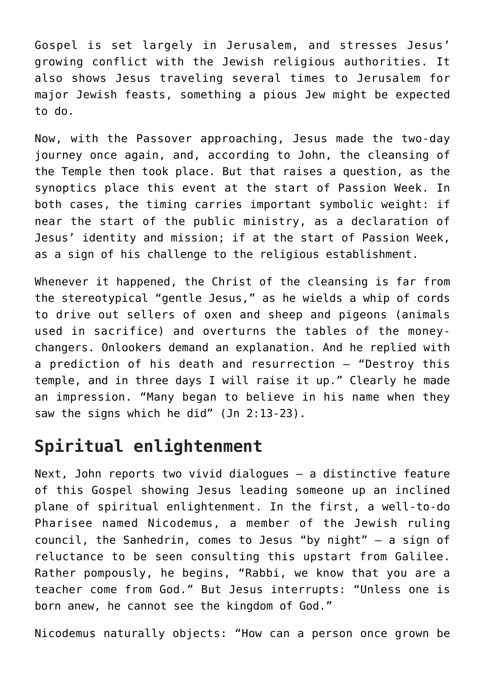Gospel is set largely in Jerusalem, and stresses Jesus' growing conflict with the Jewish religious authorities. It also shows Jesus traveling several times to Jerusalem for major Jewish feasts, something a pious Jew might be expected to do.

Now, with the Passover approaching, Jesus made the two-day journey once again, and, according to John, the cleansing of the Temple then took place. But that raises a question, as the synoptics place this event at the start of Passion Week. In both cases, the timing carries important symbolic weight: if near the start of the public ministry, as a declaration of Jesus' identity and mission; if at the start of Passion Week, as a sign of his challenge to the religious establishment.

Whenever it happened, the Christ of the cleansing is far from the stereotypical "gentle Jesus," as he wields a whip of cords to drive out sellers of oxen and sheep and pigeons (animals used in sacrifice) and overturns the tables of the moneychangers. Onlookers demand an explanation. And he replied with a prediction of his death and resurrection — "Destroy this temple, and in three days I will raise it up." Clearly he made an impression. "Many began to believe in his name when they saw the signs which he did" (Jn 2:13-23).

### **Spiritual enlightenment**

Next, John reports two vivid dialogues — a distinctive feature of this Gospel showing Jesus leading someone up an inclined plane of spiritual enlightenment. In the first, a well-to-do Pharisee named Nicodemus, a member of the Jewish ruling council, the Sanhedrin, comes to Jesus "by night" — a sign of reluctance to be seen consulting this upstart from Galilee. Rather pompously, he begins, "Rabbi, we know that you are a teacher come from God." But Jesus interrupts: "Unless one is born anew, he cannot see the kingdom of God."

Nicodemus naturally objects: "How can a person once grown be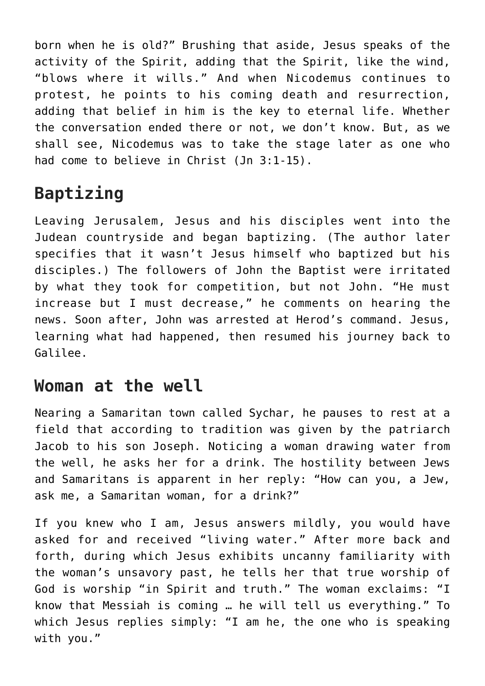born when he is old?" Brushing that aside, Jesus speaks of the activity of the Spirit, adding that the Spirit, like the wind, "blows where it wills." And when Nicodemus continues to protest, he points to his coming death and resurrection, adding that belief in him is the key to eternal life. Whether the conversation ended there or not, we don't know. But, as we shall see, Nicodemus was to take the stage later as one who had come to believe in Christ (Jn 3:1-15).

## **Baptizing**

Leaving Jerusalem, Jesus and his disciples went into the Judean countryside and began baptizing. (The author later specifies that it wasn't Jesus himself who baptized but his disciples.) The followers of John the Baptist were irritated by what they took for competition, but not John. "He must increase but I must decrease," he comments on hearing the news. Soon after, John was arrested at Herod's command. Jesus, learning what had happened, then resumed his journey back to Galilee.

#### **Woman at the well**

Nearing a Samaritan town called Sychar, he pauses to rest at a field that according to tradition was given by the patriarch Jacob to his son Joseph. Noticing a woman drawing water from the well, he asks her for a drink. The hostility between Jews and Samaritans is apparent in her reply: "How can you, a Jew, ask me, a Samaritan woman, for a drink?"

If you knew who I am, Jesus answers mildly, you would have asked for and received "living water." After more back and forth, during which Jesus exhibits uncanny familiarity with the woman's unsavory past, he tells her that true worship of God is worship "in Spirit and truth." The woman exclaims: "I know that Messiah is coming … he will tell us everything." To which Jesus replies simply: "I am he, the one who is speaking with you."